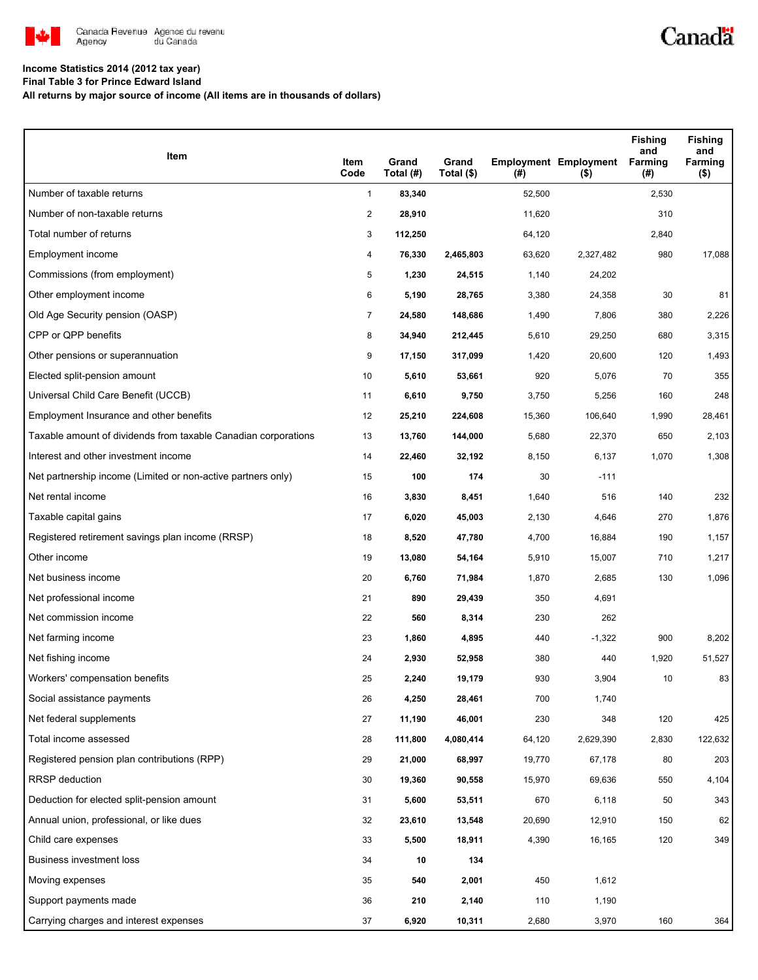

## **Income Statistics 2014 (2012 tax year)**

**Final Table 3 for Prince Edward Island**

**All returns by major source of income (All items are in thousands of dollars)**

| Item                                                           | Item<br>Code   | Grand<br>Total (#) | Grand<br>Total (\$) | (#)    | <b>Employment Employment</b><br>$($ \$) | Fishing<br>and<br>Farming<br>(#) | <b>Fishing</b><br>and<br>Farming<br>$($ \$) |
|----------------------------------------------------------------|----------------|--------------------|---------------------|--------|-----------------------------------------|----------------------------------|---------------------------------------------|
| Number of taxable returns                                      | $\mathbf{1}$   | 83,340             |                     | 52,500 |                                         | 2,530                            |                                             |
| Number of non-taxable returns                                  | $\overline{2}$ | 28,910             |                     | 11,620 |                                         | 310                              |                                             |
| Total number of returns                                        | 3              | 112,250            |                     | 64,120 |                                         | 2,840                            |                                             |
| Employment income                                              | 4              | 76,330             | 2,465,803           | 63,620 | 2,327,482                               | 980                              | 17,088                                      |
| Commissions (from employment)                                  | 5              | 1,230              | 24,515              | 1,140  | 24,202                                  |                                  |                                             |
| Other employment income                                        | 6              | 5,190              | 28,765              | 3,380  | 24,358                                  | 30                               | 81                                          |
| Old Age Security pension (OASP)                                | 7              | 24,580             | 148,686             | 1,490  | 7,806                                   | 380                              | 2,226                                       |
| CPP or QPP benefits                                            | 8              | 34,940             | 212,445             | 5,610  | 29,250                                  | 680                              | 3,315                                       |
| Other pensions or superannuation                               | 9              | 17,150             | 317,099             | 1,420  | 20,600                                  | 120                              | 1,493                                       |
| Elected split-pension amount                                   | 10             | 5,610              | 53,661              | 920    | 5,076                                   | 70                               | 355                                         |
| Universal Child Care Benefit (UCCB)                            | 11             | 6,610              | 9,750               | 3,750  | 5,256                                   | 160                              | 248                                         |
| Employment Insurance and other benefits                        | 12             | 25,210             | 224,608             | 15,360 | 106,640                                 | 1,990                            | 28,461                                      |
| Taxable amount of dividends from taxable Canadian corporations | 13             | 13,760             | 144,000             | 5,680  | 22,370                                  | 650                              | 2,103                                       |
| Interest and other investment income                           | 14             | 22,460             | 32,192              | 8,150  | 6,137                                   | 1,070                            | 1,308                                       |
| Net partnership income (Limited or non-active partners only)   | 15             | 100                | 174                 | 30     | $-111$                                  |                                  |                                             |
| Net rental income                                              | 16             | 3,830              | 8,451               | 1,640  | 516                                     | 140                              | 232                                         |
| Taxable capital gains                                          | 17             | 6,020              | 45,003              | 2,130  | 4,646                                   | 270                              | 1,876                                       |
| Registered retirement savings plan income (RRSP)               | 18             | 8,520              | 47,780              | 4,700  | 16,884                                  | 190                              | 1,157                                       |
| Other income                                                   | 19             | 13,080             | 54,164              | 5,910  | 15,007                                  | 710                              | 1,217                                       |
| Net business income                                            | 20             | 6,760              | 71,984              | 1,870  | 2,685                                   | 130                              | 1,096                                       |
| Net professional income                                        | 21             | 890                | 29,439              | 350    | 4,691                                   |                                  |                                             |
| Net commission income                                          | 22             | 560                | 8,314               | 230    | 262                                     |                                  |                                             |
| Net farming income                                             | 23             | 1,860              | 4,895               | 440    | $-1,322$                                | 900                              | 8,202                                       |
| Net fishing income                                             | 24             | 2,930              | 52,958              | 380    | 440                                     | 1,920                            | 51,527                                      |
| Workers' compensation benefits                                 | 25             | 2,240              | 19,179              | 930    | 3,904                                   | 10                               | 83                                          |
| Social assistance payments                                     | 26             | 4,250              | 28,461              | 700    | 1,740                                   |                                  |                                             |
| Net federal supplements                                        | 27             | 11,190             | 46,001              | 230    | 348                                     | 120                              | 425                                         |
| Total income assessed                                          | 28             | 111,800            | 4,080,414           | 64,120 | 2,629,390                               | 2,830                            | 122,632                                     |
| Registered pension plan contributions (RPP)                    | 29             | 21,000             | 68,997              | 19,770 | 67,178                                  | 80                               | 203                                         |
| RRSP deduction                                                 | 30             | 19,360             | 90,558              | 15,970 | 69,636                                  | 550                              | 4,104                                       |
| Deduction for elected split-pension amount                     | 31             | 5,600              | 53,511              | 670    | 6,118                                   | 50                               | 343                                         |
| Annual union, professional, or like dues                       | 32             | 23,610             | 13,548              | 20,690 | 12,910                                  | 150                              | 62                                          |
| Child care expenses                                            | 33             | 5,500              | 18,911              | 4,390  | 16,165                                  | 120                              | 349                                         |
| Business investment loss                                       | 34             | 10                 | 134                 |        |                                         |                                  |                                             |
| Moving expenses                                                | 35             | 540                | 2,001               | 450    | 1,612                                   |                                  |                                             |
| Support payments made                                          | 36             | 210                | 2,140               | 110    | 1,190                                   |                                  |                                             |
| Carrying charges and interest expenses                         | 37             | 6,920              | 10,311              | 2,680  | 3,970                                   | 160                              | 364                                         |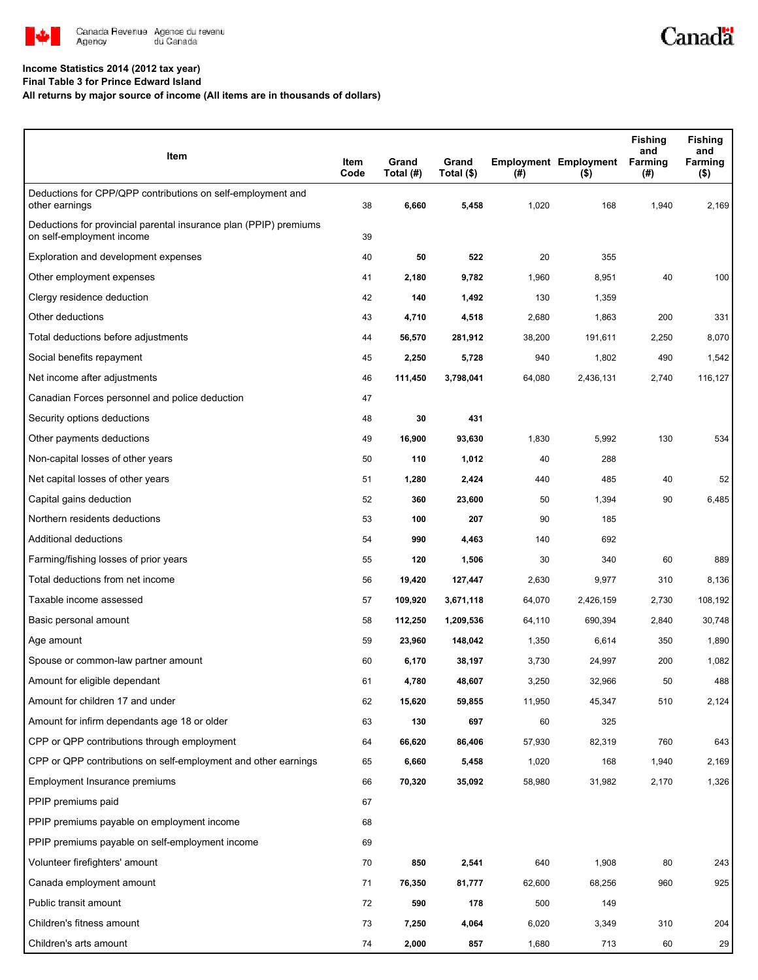

## Canadä

## **Income Statistics 2014 (2012 tax year)**

**Final Table 3 for Prince Edward Island**

**All returns by major source of income (All items are in thousands of dollars)**

| Item                                                                                           | Item<br>Code | Grand<br>Total (#) | Grand<br>Total (\$) | (#)    | <b>Employment Employment</b><br>$($ \$) | <b>Fishing</b><br>and<br><b>Farming</b><br>(#) | <b>Fishing</b><br>and<br>Farming<br>$($ \$) |
|------------------------------------------------------------------------------------------------|--------------|--------------------|---------------------|--------|-----------------------------------------|------------------------------------------------|---------------------------------------------|
| Deductions for CPP/QPP contributions on self-employment and<br>other earnings                  | 38           | 6,660              | 5,458               | 1,020  | 168                                     | 1,940                                          | 2,169                                       |
| Deductions for provincial parental insurance plan (PPIP) premiums<br>on self-employment income | 39           |                    |                     |        |                                         |                                                |                                             |
| Exploration and development expenses                                                           | 40           | 50                 | 522                 | 20     | 355                                     |                                                |                                             |
| Other employment expenses                                                                      | 41           | 2,180              | 9,782               | 1,960  | 8,951                                   | 40                                             | 100                                         |
| Clergy residence deduction                                                                     | 42           | 140                | 1,492               | 130    | 1,359                                   |                                                |                                             |
| Other deductions                                                                               | 43           | 4,710              | 4,518               | 2,680  | 1,863                                   | 200                                            | 331                                         |
| Total deductions before adjustments                                                            | 44           | 56,570             | 281,912             | 38,200 | 191,611                                 | 2,250                                          | 8,070                                       |
| Social benefits repayment                                                                      | 45           | 2,250              | 5,728               | 940    | 1,802                                   | 490                                            | 1,542                                       |
| Net income after adjustments                                                                   | 46           | 111,450            | 3,798,041           | 64,080 | 2,436,131                               | 2,740                                          | 116,127                                     |
| Canadian Forces personnel and police deduction                                                 | 47           |                    |                     |        |                                         |                                                |                                             |
| Security options deductions                                                                    | 48           | 30                 | 431                 |        |                                         |                                                |                                             |
| Other payments deductions                                                                      | 49           | 16,900             | 93,630              | 1,830  | 5,992                                   | 130                                            | 534                                         |
| Non-capital losses of other years                                                              | 50           | 110                | 1,012               | 40     | 288                                     |                                                |                                             |
| Net capital losses of other years                                                              | 51           | 1,280              | 2,424               | 440    | 485                                     | 40                                             | 52                                          |
| Capital gains deduction                                                                        | 52           | 360                | 23,600              | 50     | 1,394                                   | 90                                             | 6,485                                       |
| Northern residents deductions                                                                  | 53           | 100                | 207                 | 90     | 185                                     |                                                |                                             |
| Additional deductions                                                                          | 54           | 990                | 4,463               | 140    | 692                                     |                                                |                                             |
| Farming/fishing losses of prior years                                                          | 55           | 120                | 1,506               | 30     | 340                                     | 60                                             | 889                                         |
| Total deductions from net income                                                               | 56           | 19,420             | 127,447             | 2,630  | 9,977                                   | 310                                            | 8,136                                       |
| Taxable income assessed                                                                        | 57           | 109,920            | 3,671,118           | 64,070 | 2,426,159                               | 2,730                                          | 108,192                                     |
| Basic personal amount                                                                          | 58           | 112,250            | 1,209,536           | 64,110 | 690,394                                 | 2,840                                          | 30,748                                      |
| Age amount                                                                                     | 59           | 23,960             | 148,042             | 1,350  | 6,614                                   | 350                                            | 1,890                                       |
| Spouse or common-law partner amount                                                            | 60           | 6,170              | 38,197              | 3,730  | 24,997                                  | 200                                            | 1,082                                       |
| Amount for eligible dependant                                                                  | 61           | 4,780              | 48,607              | 3,250  | 32,966                                  | 50                                             | 488                                         |
| Amount for children 17 and under                                                               | 62           | 15,620             | 59,855              | 11,950 | 45,347                                  | 510                                            | 2,124                                       |
| Amount for infirm dependants age 18 or older                                                   | 63           | 130                | 697                 | 60     | 325                                     |                                                |                                             |
| CPP or QPP contributions through employment                                                    | 64           | 66,620             | 86,406              | 57,930 | 82,319                                  | 760                                            | 643                                         |
| CPP or QPP contributions on self-employment and other earnings                                 | 65           | 6,660              | 5,458               | 1,020  | 168                                     | 1,940                                          | 2,169                                       |
| Employment Insurance premiums                                                                  | 66           | 70,320             | 35,092              | 58,980 | 31,982                                  | 2,170                                          | 1,326                                       |
| PPIP premiums paid                                                                             | 67           |                    |                     |        |                                         |                                                |                                             |
| PPIP premiums payable on employment income                                                     | 68           |                    |                     |        |                                         |                                                |                                             |
| PPIP premiums payable on self-employment income                                                | 69           |                    |                     |        |                                         |                                                |                                             |
| Volunteer firefighters' amount                                                                 | 70           | 850                | 2,541               | 640    | 1,908                                   | 80                                             | 243                                         |
| Canada employment amount                                                                       | 71           | 76,350             | 81,777              | 62,600 | 68,256                                  | 960                                            | 925                                         |
| Public transit amount                                                                          | 72           | 590                | 178                 | 500    | 149                                     |                                                |                                             |
| Children's fitness amount                                                                      | 73           | 7,250              | 4,064               | 6,020  | 3,349                                   | 310                                            | 204                                         |
| Children's arts amount                                                                         | 74           | 2,000              | 857                 | 1,680  | 713                                     | 60                                             | 29                                          |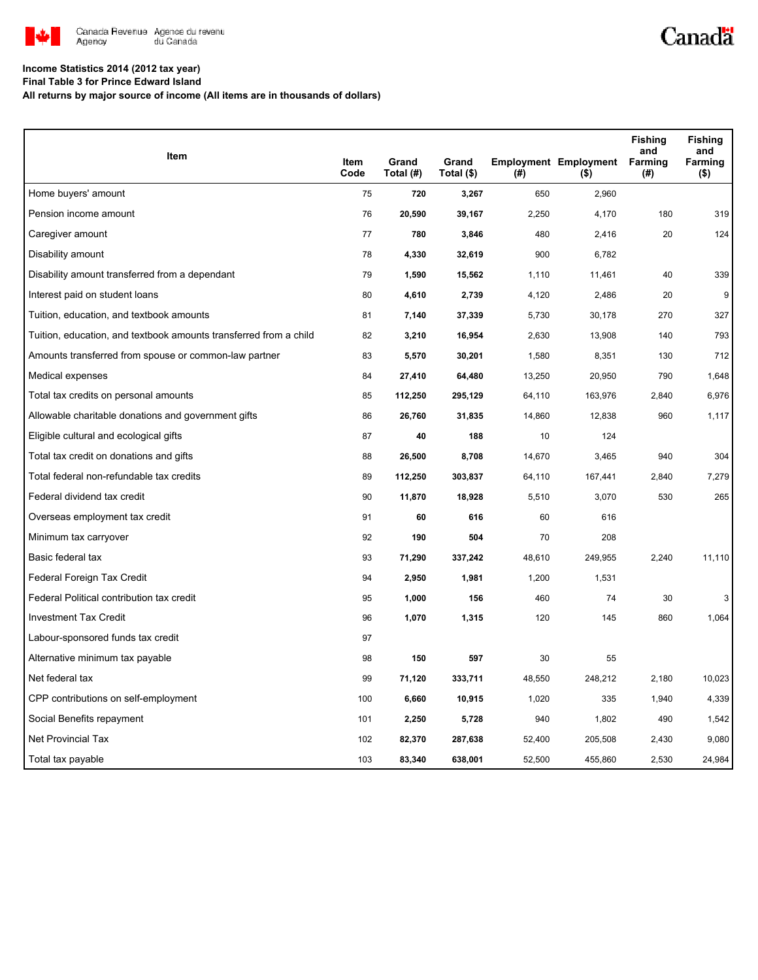

## **Income Statistics 2014 (2012 tax year)**

**Final Table 3 for Prince Edward Island**

**All returns by major source of income (All items are in thousands of dollars)**

| Item                                                              |              | Grand     | Grand      |        |                                         | <b>Fishing</b><br>and<br><b>Farming</b> | <b>Fishing</b><br>and<br>Farming |
|-------------------------------------------------------------------|--------------|-----------|------------|--------|-----------------------------------------|-----------------------------------------|----------------------------------|
|                                                                   | Item<br>Code | Total (#) | Total (\$) | (#)    | <b>Employment Employment</b><br>$($ \$) | (#)                                     | (\$)                             |
| Home buyers' amount                                               | 75           | 720       | 3,267      | 650    | 2,960                                   |                                         |                                  |
| Pension income amount                                             | 76           | 20,590    | 39,167     | 2,250  | 4,170                                   | 180                                     | 319                              |
| Caregiver amount                                                  | 77           | 780       | 3,846      | 480    | 2,416                                   | 20                                      | 124                              |
| Disability amount                                                 | 78           | 4,330     | 32,619     | 900    | 6,782                                   |                                         |                                  |
| Disability amount transferred from a dependant                    | 79           | 1,590     | 15,562     | 1,110  | 11,461                                  | 40                                      | 339                              |
| Interest paid on student loans                                    | 80           | 4,610     | 2,739      | 4,120  | 2,486                                   | 20                                      | 9                                |
| Tuition, education, and textbook amounts                          | 81           | 7,140     | 37,339     | 5,730  | 30,178                                  | 270                                     | 327                              |
| Tuition, education, and textbook amounts transferred from a child | 82           | 3,210     | 16,954     | 2,630  | 13,908                                  | 140                                     | 793                              |
| Amounts transferred from spouse or common-law partner             | 83           | 5,570     | 30,201     | 1,580  | 8,351                                   | 130                                     | 712                              |
| Medical expenses                                                  | 84           | 27,410    | 64,480     | 13,250 | 20,950                                  | 790                                     | 1,648                            |
| Total tax credits on personal amounts                             | 85           | 112,250   | 295,129    | 64,110 | 163,976                                 | 2,840                                   | 6,976                            |
| Allowable charitable donations and government gifts               | 86           | 26,760    | 31,835     | 14,860 | 12,838                                  | 960                                     | 1,117                            |
| Eligible cultural and ecological gifts                            | 87           | 40        | 188        | 10     | 124                                     |                                         |                                  |
| Total tax credit on donations and gifts                           | 88           | 26,500    | 8,708      | 14,670 | 3,465                                   | 940                                     | 304                              |
| Total federal non-refundable tax credits                          | 89           | 112,250   | 303,837    | 64,110 | 167,441                                 | 2,840                                   | 7,279                            |
| Federal dividend tax credit                                       | 90           | 11,870    | 18,928     | 5,510  | 3,070                                   | 530                                     | 265                              |
| Overseas employment tax credit                                    | 91           | 60        | 616        | 60     | 616                                     |                                         |                                  |
| Minimum tax carryover                                             | 92           | 190       | 504        | 70     | 208                                     |                                         |                                  |
| Basic federal tax                                                 | 93           | 71,290    | 337,242    | 48,610 | 249,955                                 | 2,240                                   | 11,110                           |
| Federal Foreign Tax Credit                                        | 94           | 2,950     | 1,981      | 1,200  | 1,531                                   |                                         |                                  |
| Federal Political contribution tax credit                         | 95           | 1,000     | 156        | 460    | 74                                      | 30                                      | 3                                |
| <b>Investment Tax Credit</b>                                      | 96           | 1,070     | 1,315      | 120    | 145                                     | 860                                     | 1,064                            |
| Labour-sponsored funds tax credit                                 | 97           |           |            |        |                                         |                                         |                                  |
| Alternative minimum tax payable                                   | 98           | 150       | 597        | 30     | 55                                      |                                         |                                  |
| Net federal tax                                                   | 99           | 71,120    | 333,711    | 48,550 | 248,212                                 | 2,180                                   | 10,023                           |
| CPP contributions on self-employment                              | 100          | 6,660     | 10,915     | 1,020  | 335                                     | 1,940                                   | 4,339                            |
| Social Benefits repayment                                         | 101          | 2,250     | 5,728      | 940    | 1,802                                   | 490                                     | 1,542                            |
| Net Provincial Tax                                                | 102          | 82,370    | 287,638    | 52,400 | 205,508                                 | 2,430                                   | 9,080                            |
| Total tax payable                                                 | 103          | 83,340    | 638,001    | 52,500 | 455,860                                 | 2,530                                   | 24,984                           |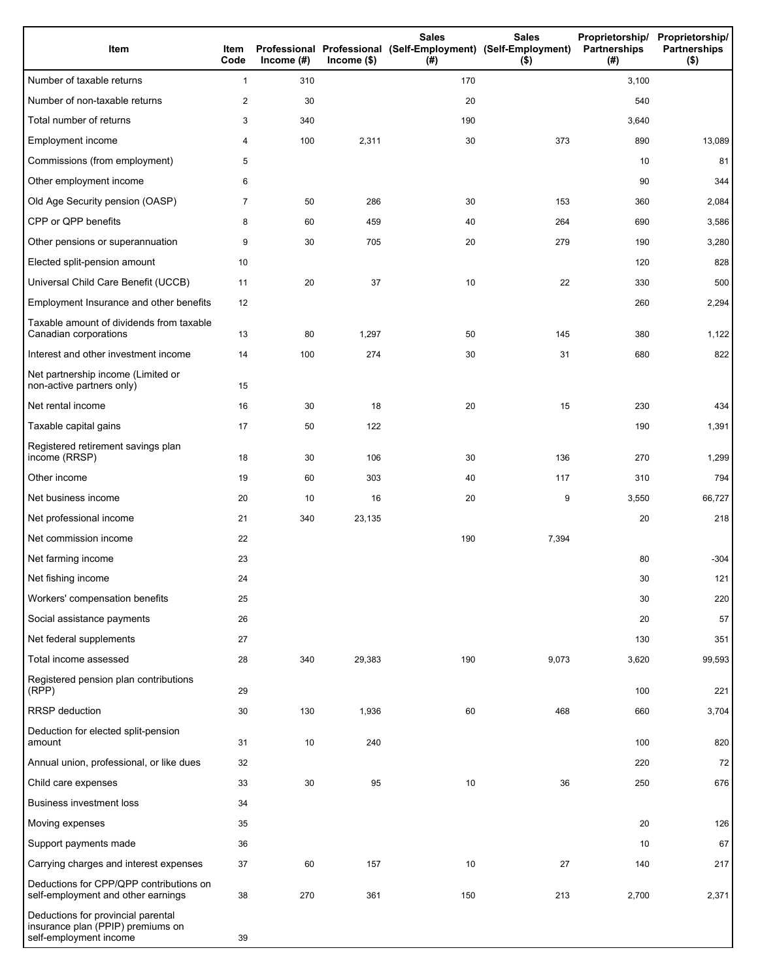| Item                                                                                              | Item<br>Code | Income $(\#)$ | $lncome$ (\$) | <b>Sales</b><br>Professional Professional (Self-Employment) (Self-Employment)<br>(# ) | <b>Sales</b><br>$($ \$) | Proprietorship/ Proprietorship/<br><b>Partnerships</b><br>(#) | <b>Partnerships</b><br>$($ \$) |
|---------------------------------------------------------------------------------------------------|--------------|---------------|---------------|---------------------------------------------------------------------------------------|-------------------------|---------------------------------------------------------------|--------------------------------|
| Number of taxable returns                                                                         | $\mathbf{1}$ | 310           |               | 170                                                                                   |                         | 3,100                                                         |                                |
| Number of non-taxable returns                                                                     | 2            | 30            |               | 20                                                                                    |                         | 540                                                           |                                |
| Total number of returns                                                                           | 3            | 340           |               | 190                                                                                   |                         | 3,640                                                         |                                |
| Employment income                                                                                 | 4            | 100           | 2,311         | 30                                                                                    | 373                     | 890                                                           | 13,089                         |
| Commissions (from employment)                                                                     | 5            |               |               |                                                                                       |                         | 10                                                            | 81                             |
| Other employment income                                                                           | 6            |               |               |                                                                                       |                         | 90                                                            | 344                            |
| Old Age Security pension (OASP)                                                                   | 7            | 50            | 286           | 30                                                                                    | 153                     | 360                                                           | 2,084                          |
| CPP or QPP benefits                                                                               | 8            | 60            | 459           | 40                                                                                    | 264                     | 690                                                           | 3,586                          |
| Other pensions or superannuation                                                                  | 9            | 30            | 705           | 20                                                                                    | 279                     | 190                                                           | 3,280                          |
| Elected split-pension amount                                                                      | 10           |               |               |                                                                                       |                         | 120                                                           | 828                            |
| Universal Child Care Benefit (UCCB)                                                               | 11           | 20            | 37            | 10                                                                                    | 22                      | 330                                                           | 500                            |
| Employment Insurance and other benefits                                                           | 12           |               |               |                                                                                       |                         | 260                                                           | 2,294                          |
| Taxable amount of dividends from taxable<br>Canadian corporations                                 | 13           | 80            | 1,297         | 50                                                                                    | 145                     | 380                                                           | 1,122                          |
| Interest and other investment income                                                              | 14           | 100           | 274           | 30                                                                                    | 31                      | 680                                                           | 822                            |
| Net partnership income (Limited or<br>non-active partners only)                                   | 15           |               |               |                                                                                       |                         |                                                               |                                |
| Net rental income                                                                                 | 16           | 30            | 18            | 20                                                                                    | 15                      | 230                                                           | 434                            |
| Taxable capital gains                                                                             | 17           | 50            | 122           |                                                                                       |                         | 190                                                           | 1,391                          |
| Registered retirement savings plan<br>income (RRSP)                                               | 18           | 30            | 106           | 30                                                                                    | 136                     | 270                                                           | 1,299                          |
| Other income                                                                                      | 19           | 60            | 303           | 40                                                                                    | 117                     | 310                                                           | 794                            |
| Net business income                                                                               | 20           | 10            | 16            | 20                                                                                    | 9                       | 3,550                                                         | 66,727                         |
| Net professional income                                                                           | 21           | 340           | 23,135        |                                                                                       |                         | 20                                                            | 218                            |
| Net commission income                                                                             | 22           |               |               | 190                                                                                   | 7,394                   |                                                               |                                |
| Net farming income                                                                                | 23           |               |               |                                                                                       |                         | 80                                                            | $-304$                         |
| Net fishing income                                                                                | 24           |               |               |                                                                                       |                         | 30                                                            | 121                            |
| Workers' compensation benefits                                                                    | 25           |               |               |                                                                                       |                         | 30                                                            | 220                            |
| Social assistance payments                                                                        | 26           |               |               |                                                                                       |                         | 20                                                            | 57                             |
| Net federal supplements                                                                           | 27           |               |               |                                                                                       |                         | 130                                                           | 351                            |
| Total income assessed                                                                             | 28           | 340           | 29,383        | 190                                                                                   | 9,073                   | 3,620                                                         | 99,593                         |
| Registered pension plan contributions<br>(RPP)                                                    | 29           |               |               |                                                                                       |                         | 100                                                           | 221                            |
| RRSP deduction                                                                                    | 30           | 130           | 1,936         | 60                                                                                    | 468                     | 660                                                           | 3,704                          |
| Deduction for elected split-pension<br>amount                                                     | 31           | 10            | 240           |                                                                                       |                         | 100                                                           | 820                            |
| Annual union, professional, or like dues                                                          | 32           |               |               |                                                                                       |                         | 220                                                           | 72                             |
| Child care expenses                                                                               | 33           | 30            | 95            | 10                                                                                    | 36                      | 250                                                           | 676                            |
| <b>Business investment loss</b>                                                                   | 34           |               |               |                                                                                       |                         |                                                               |                                |
| Moving expenses                                                                                   | 35           |               |               |                                                                                       |                         | 20                                                            | 126                            |
| Support payments made                                                                             | 36           |               |               |                                                                                       |                         | 10                                                            | 67                             |
| Carrying charges and interest expenses                                                            | 37           | 60            | 157           | 10                                                                                    | 27                      | 140                                                           | 217                            |
| Deductions for CPP/QPP contributions on<br>self-employment and other earnings                     | 38           | 270           | 361           | 150                                                                                   | 213                     | 2,700                                                         | 2,371                          |
| Deductions for provincial parental<br>insurance plan (PPIP) premiums on<br>self-employment income | 39           |               |               |                                                                                       |                         |                                                               |                                |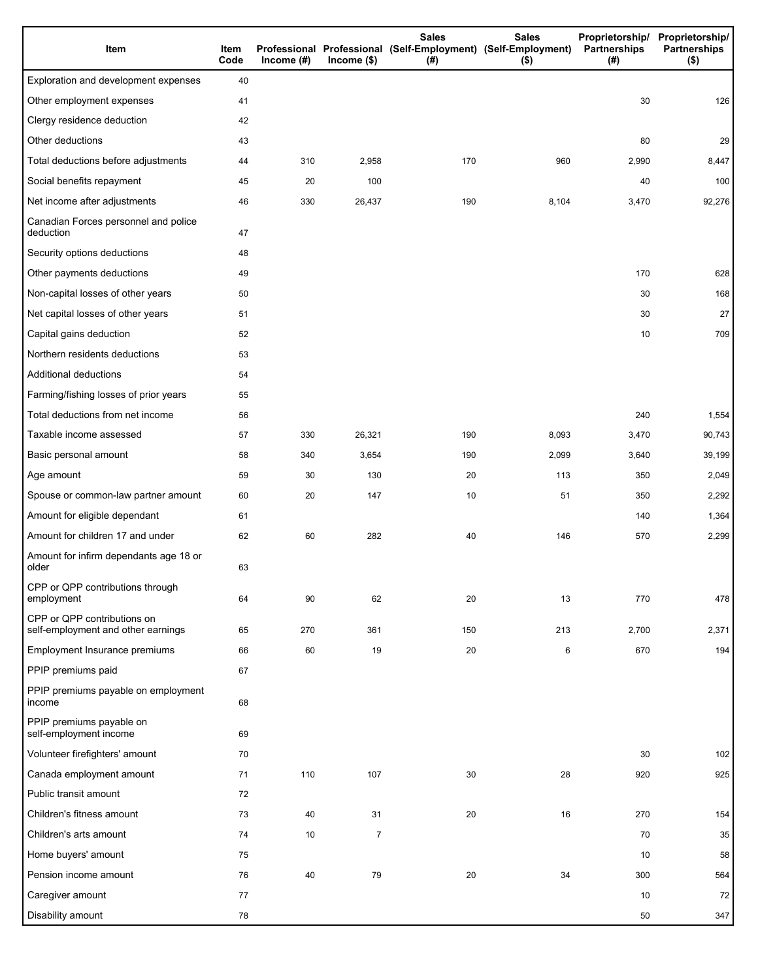| Item                                                              | Item<br>Code | Income $(H)$ | $Income$ (\$)  | <b>Sales</b><br>Professional Professional (Self-Employment) (Self-Employment)<br>(# ) | <b>Sales</b><br>$($ \$) | Partnerships<br>(#) | Proprietorship/ Proprietorship/<br><b>Partnerships</b><br>$($ \$) |
|-------------------------------------------------------------------|--------------|--------------|----------------|---------------------------------------------------------------------------------------|-------------------------|---------------------|-------------------------------------------------------------------|
| Exploration and development expenses                              | 40           |              |                |                                                                                       |                         |                     |                                                                   |
| Other employment expenses                                         | 41           |              |                |                                                                                       |                         | 30                  | 126                                                               |
| Clergy residence deduction                                        | 42           |              |                |                                                                                       |                         |                     |                                                                   |
| Other deductions                                                  | 43           |              |                |                                                                                       |                         | 80                  | 29                                                                |
| Total deductions before adjustments                               | 44           | 310          | 2,958          | 170                                                                                   | 960                     | 2,990               | 8,447                                                             |
| Social benefits repayment                                         | 45           | 20           | 100            |                                                                                       |                         | 40                  | 100                                                               |
| Net income after adjustments                                      | 46           | 330          | 26,437         | 190                                                                                   | 8,104                   | 3,470               | 92,276                                                            |
| Canadian Forces personnel and police<br>deduction                 | 47           |              |                |                                                                                       |                         |                     |                                                                   |
| Security options deductions                                       | 48           |              |                |                                                                                       |                         |                     |                                                                   |
| Other payments deductions                                         | 49           |              |                |                                                                                       |                         | 170                 | 628                                                               |
| Non-capital losses of other years                                 | 50           |              |                |                                                                                       |                         | 30                  | 168                                                               |
| Net capital losses of other years                                 | 51           |              |                |                                                                                       |                         | 30                  | 27                                                                |
| Capital gains deduction                                           | 52           |              |                |                                                                                       |                         | 10                  | 709                                                               |
| Northern residents deductions                                     | 53           |              |                |                                                                                       |                         |                     |                                                                   |
| Additional deductions                                             | 54           |              |                |                                                                                       |                         |                     |                                                                   |
| Farming/fishing losses of prior years                             | 55           |              |                |                                                                                       |                         |                     |                                                                   |
| Total deductions from net income                                  | 56           |              |                |                                                                                       |                         | 240                 | 1,554                                                             |
| Taxable income assessed                                           | 57           | 330          | 26,321         | 190                                                                                   | 8,093                   | 3,470               | 90,743                                                            |
| Basic personal amount                                             | 58           | 340          | 3,654          | 190                                                                                   | 2,099                   | 3,640               | 39,199                                                            |
| Age amount                                                        | 59           | 30           | 130            | 20                                                                                    | 113                     | 350                 | 2,049                                                             |
| Spouse or common-law partner amount                               | 60           | 20           | 147            | 10                                                                                    | 51                      | 350                 | 2,292                                                             |
| Amount for eligible dependant                                     | 61           |              |                |                                                                                       |                         | 140                 | 1,364                                                             |
| Amount for children 17 and under                                  | 62           | 60           | 282            | 40                                                                                    | 146                     | 570                 | 2,299                                                             |
| Amount for infirm dependants age 18 or<br>older                   | 63           |              |                |                                                                                       |                         |                     |                                                                   |
| CPP or QPP contributions through<br>employment                    | 64           | 90           | 62             | 20                                                                                    | 13                      | 770                 | 478                                                               |
| CPP or QPP contributions on<br>self-employment and other earnings | 65           | 270          | 361            | 150                                                                                   | 213                     | 2,700               | 2,371                                                             |
| Employment Insurance premiums                                     | 66           | 60           | 19             | 20                                                                                    | 6                       | 670                 | 194                                                               |
| PPIP premiums paid                                                | 67           |              |                |                                                                                       |                         |                     |                                                                   |
| PPIP premiums payable on employment<br>income                     | 68           |              |                |                                                                                       |                         |                     |                                                                   |
| PPIP premiums payable on<br>self-employment income                | 69           |              |                |                                                                                       |                         |                     |                                                                   |
| Volunteer firefighters' amount                                    | 70           |              |                |                                                                                       |                         | 30                  | 102                                                               |
| Canada employment amount                                          | 71           | 110          | 107            | 30                                                                                    | 28                      | 920                 | 925                                                               |
| Public transit amount                                             | 72           |              |                |                                                                                       |                         |                     |                                                                   |
| Children's fitness amount                                         | 73           | 40           | 31             | 20                                                                                    | 16                      | 270                 | 154                                                               |
| Children's arts amount                                            | 74           | 10           | $\overline{7}$ |                                                                                       |                         | 70                  | 35                                                                |
| Home buyers' amount                                               | 75           |              |                |                                                                                       |                         | 10                  | 58                                                                |
| Pension income amount                                             | 76           | 40           | 79             | 20                                                                                    | 34                      | 300                 | 564                                                               |
| Caregiver amount                                                  | 77           |              |                |                                                                                       |                         | 10                  | 72                                                                |
| Disability amount                                                 | 78           |              |                |                                                                                       |                         | 50                  | 347                                                               |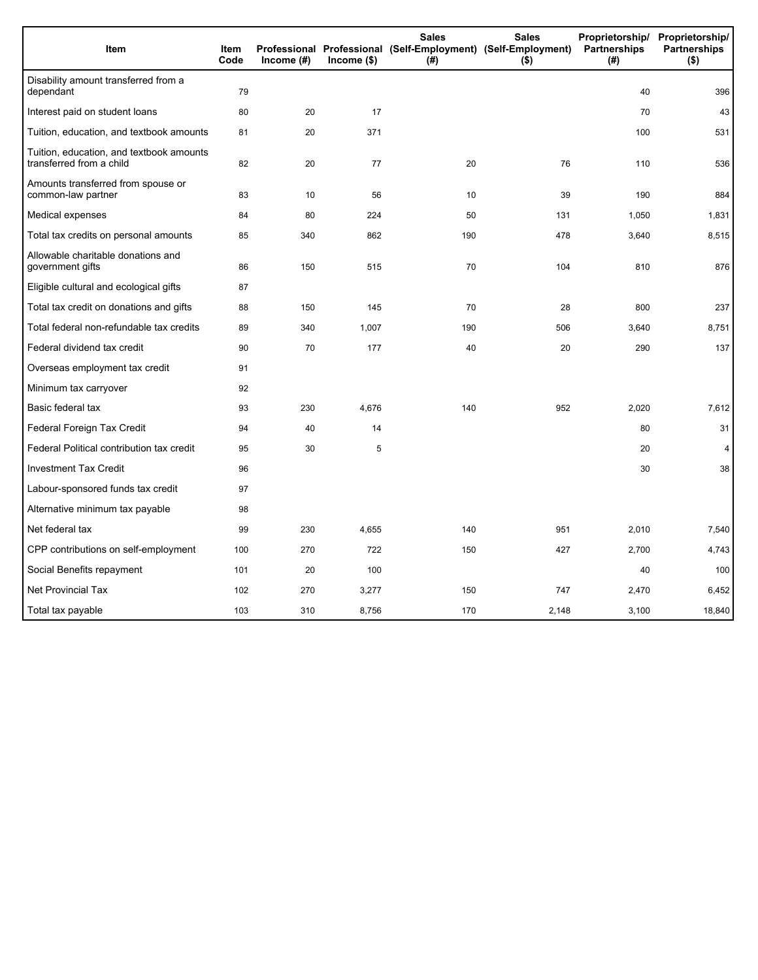| Item                                                                 | <b>Item</b><br>Code | Income (#) | $Income$ (\$) | <b>Sales</b><br>Professional Professional (Self-Employment) (Self-Employment)<br>(#) | <b>Sales</b><br>$($ \$) | Proprietorship/<br>Partnerships<br>(#) | Proprietorship/<br><b>Partnerships</b><br>$($ \$) |
|----------------------------------------------------------------------|---------------------|------------|---------------|--------------------------------------------------------------------------------------|-------------------------|----------------------------------------|---------------------------------------------------|
| Disability amount transferred from a<br>dependant                    | 79                  |            |               |                                                                                      |                         | 40                                     | 396                                               |
| Interest paid on student loans                                       | 80                  | 20         | 17            |                                                                                      |                         | 70                                     | 43                                                |
| Tuition, education, and textbook amounts                             | 81                  | 20         | 371           |                                                                                      |                         | 100                                    | 531                                               |
| Tuition, education, and textbook amounts<br>transferred from a child | 82                  | 20         | 77            | 20                                                                                   | 76                      | 110                                    | 536                                               |
| Amounts transferred from spouse or<br>common-law partner             | 83                  | 10         | 56            | 10                                                                                   | 39                      | 190                                    | 884                                               |
| Medical expenses                                                     | 84                  | 80         | 224           | 50                                                                                   | 131                     | 1,050                                  | 1,831                                             |
| Total tax credits on personal amounts                                | 85                  | 340        | 862           | 190                                                                                  | 478                     | 3,640                                  | 8,515                                             |
| Allowable charitable donations and<br>government gifts               | 86                  | 150        | 515           | 70                                                                                   | 104                     | 810                                    | 876                                               |
| Eligible cultural and ecological gifts                               | 87                  |            |               |                                                                                      |                         |                                        |                                                   |
| Total tax credit on donations and gifts                              | 88                  | 150        | 145           | 70                                                                                   | 28                      | 800                                    | 237                                               |
| Total federal non-refundable tax credits                             | 89                  | 340        | 1,007         | 190                                                                                  | 506                     | 3,640                                  | 8,751                                             |
| Federal dividend tax credit                                          | 90                  | 70         | 177           | 40                                                                                   | 20                      | 290                                    | 137                                               |
| Overseas employment tax credit                                       | 91                  |            |               |                                                                                      |                         |                                        |                                                   |
| Minimum tax carryover                                                | 92                  |            |               |                                                                                      |                         |                                        |                                                   |
| Basic federal tax                                                    | 93                  | 230        | 4,676         | 140                                                                                  | 952                     | 2,020                                  | 7,612                                             |
| Federal Foreign Tax Credit                                           | 94                  | 40         | 14            |                                                                                      |                         | 80                                     | 31                                                |
| Federal Political contribution tax credit                            | 95                  | 30         | 5             |                                                                                      |                         | 20                                     | 4                                                 |
| <b>Investment Tax Credit</b>                                         | 96                  |            |               |                                                                                      |                         | 30                                     | 38                                                |
| Labour-sponsored funds tax credit                                    | 97                  |            |               |                                                                                      |                         |                                        |                                                   |
| Alternative minimum tax payable                                      | 98                  |            |               |                                                                                      |                         |                                        |                                                   |
| Net federal tax                                                      | 99                  | 230        | 4,655         | 140                                                                                  | 951                     | 2,010                                  | 7,540                                             |
| CPP contributions on self-employment                                 | 100                 | 270        | 722           | 150                                                                                  | 427                     | 2,700                                  | 4,743                                             |
| Social Benefits repayment                                            | 101                 | 20         | 100           |                                                                                      |                         | 40                                     | 100                                               |
| <b>Net Provincial Tax</b>                                            | 102                 | 270        | 3,277         | 150                                                                                  | 747                     | 2,470                                  | 6,452                                             |
| Total tax payable                                                    | 103                 | 310        | 8,756         | 170                                                                                  | 2,148                   | 3,100                                  | 18,840                                            |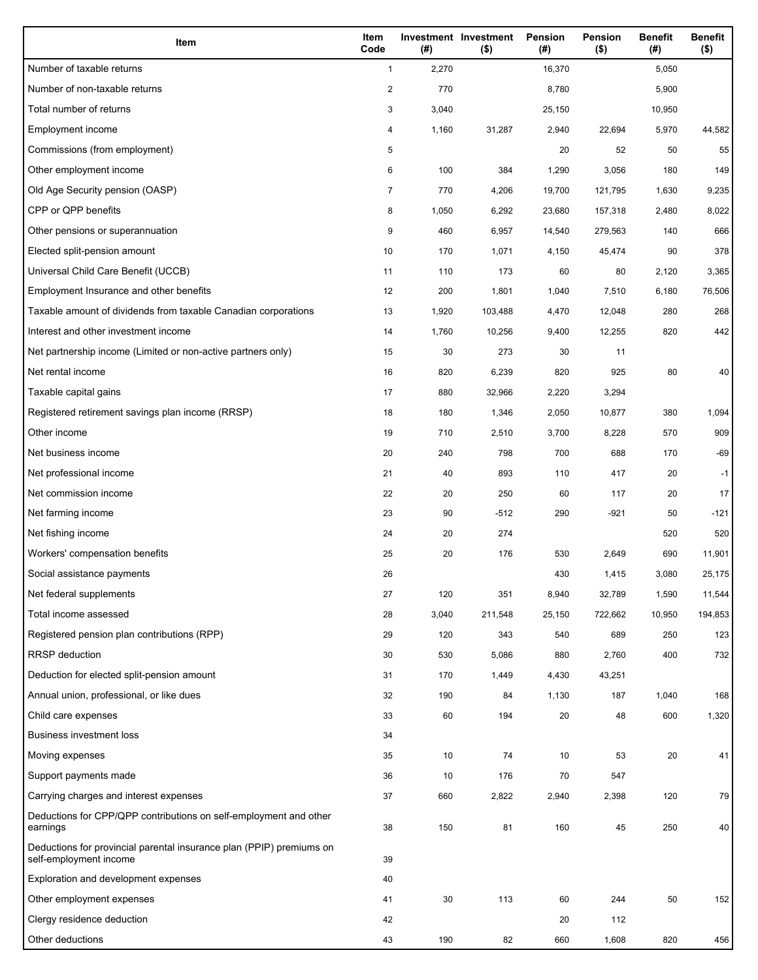| Item                                                                                           | Item<br>Code   | (#)   | Investment Investment<br>$($ \$) | Pension<br>(#) | <b>Pension</b><br>$($ \$) | <b>Benefit</b><br>(#) | <b>Benefit</b><br>$($ \$) |
|------------------------------------------------------------------------------------------------|----------------|-------|----------------------------------|----------------|---------------------------|-----------------------|---------------------------|
| Number of taxable returns                                                                      | $\mathbf{1}$   | 2,270 |                                  | 16,370         |                           | 5,050                 |                           |
| Number of non-taxable returns                                                                  | $\overline{c}$ | 770   |                                  | 8,780          |                           | 5,900                 |                           |
| Total number of returns                                                                        | 3              | 3,040 |                                  | 25,150         |                           | 10,950                |                           |
| Employment income                                                                              | 4              | 1,160 | 31,287                           | 2,940          | 22,694                    | 5,970                 | 44,582                    |
| Commissions (from employment)                                                                  | 5              |       |                                  | 20             | 52                        | 50                    | 55                        |
| Other employment income                                                                        | 6              | 100   | 384                              | 1,290          | 3,056                     | 180                   | 149                       |
| Old Age Security pension (OASP)                                                                | 7              | 770   | 4,206                            | 19,700         | 121,795                   | 1,630                 | 9,235                     |
| CPP or QPP benefits                                                                            | 8              | 1,050 | 6,292                            | 23,680         | 157,318                   | 2,480                 | 8,022                     |
| Other pensions or superannuation                                                               | 9              | 460   | 6,957                            | 14,540         | 279,563                   | 140                   | 666                       |
| Elected split-pension amount                                                                   | 10             | 170   | 1,071                            | 4,150          | 45,474                    | 90                    | 378                       |
| Universal Child Care Benefit (UCCB)                                                            | 11             | 110   | 173                              | 60             | 80                        | 2,120                 | 3,365                     |
| Employment Insurance and other benefits                                                        | 12             | 200   | 1,801                            | 1,040          | 7,510                     | 6,180                 | 76,506                    |
| Taxable amount of dividends from taxable Canadian corporations                                 | 13             | 1,920 | 103,488                          | 4,470          | 12,048                    | 280                   | 268                       |
| Interest and other investment income                                                           | 14             | 1,760 | 10,256                           | 9,400          | 12,255                    | 820                   | 442                       |
| Net partnership income (Limited or non-active partners only)                                   | 15             | 30    | 273                              | 30             | 11                        |                       |                           |
| Net rental income                                                                              | 16             | 820   | 6,239                            | 820            | 925                       | 80                    | 40                        |
| Taxable capital gains                                                                          | 17             | 880   | 32,966                           | 2,220          | 3,294                     |                       |                           |
| Registered retirement savings plan income (RRSP)                                               | 18             | 180   | 1,346                            | 2,050          | 10,877                    | 380                   | 1,094                     |
| Other income                                                                                   | 19             | 710   | 2,510                            | 3,700          | 8,228                     | 570                   | 909                       |
| Net business income                                                                            | 20             | 240   | 798                              | 700            | 688                       | 170                   | $-69$                     |
| Net professional income                                                                        | 21             | 40    | 893                              | 110            | 417                       | 20                    | $-1$                      |
| Net commission income                                                                          | 22             | 20    | 250                              | 60             | 117                       | 20                    | 17                        |
| Net farming income                                                                             | 23             | 90    | $-512$                           | 290            | $-921$                    | 50                    | $-121$                    |
| Net fishing income                                                                             | 24             | 20    | 274                              |                |                           | 520                   | 520                       |
| Workers' compensation benefits                                                                 | 25             | 20    | 176                              | 530            | 2,649                     | 690                   | 11,901                    |
| Social assistance payments                                                                     | 26             |       |                                  | 430            | 1,415                     | 3,080                 | 25,175                    |
| Net federal supplements                                                                        | 27             | 120   | 351                              | 8,940          | 32,789                    | 1,590                 | 11,544                    |
| Total income assessed                                                                          | 28             | 3,040 | 211,548                          | 25,150         | 722,662                   | 10,950                | 194,853                   |
| Registered pension plan contributions (RPP)                                                    | 29             | 120   | 343                              | 540            | 689                       | 250                   | 123                       |
| <b>RRSP</b> deduction                                                                          | 30             | 530   | 5,086                            | 880            | 2,760                     | 400                   | 732                       |
| Deduction for elected split-pension amount                                                     | 31             | 170   | 1,449                            | 4,430          | 43,251                    |                       |                           |
| Annual union, professional, or like dues                                                       | 32             | 190   | 84                               | 1,130          | 187                       | 1,040                 | 168                       |
| Child care expenses                                                                            | 33             | 60    | 194                              | 20             | 48                        | 600                   | 1,320                     |
| <b>Business investment loss</b>                                                                | 34             |       |                                  |                |                           |                       |                           |
| Moving expenses                                                                                | 35             | 10    | 74                               | 10             | 53                        | 20                    | 41                        |
| Support payments made                                                                          | 36             | 10    | 176                              | 70             | 547                       |                       |                           |
| Carrying charges and interest expenses                                                         | 37             | 660   | 2,822                            | 2,940          | 2,398                     | 120                   | 79                        |
| Deductions for CPP/QPP contributions on self-employment and other<br>earnings                  | 38             | 150   | 81                               | 160            | 45                        | 250                   | 40                        |
| Deductions for provincial parental insurance plan (PPIP) premiums on<br>self-employment income | 39             |       |                                  |                |                           |                       |                           |
| Exploration and development expenses                                                           | 40             |       |                                  |                |                           |                       |                           |
| Other employment expenses                                                                      | 41             | 30    | 113                              | 60             | 244                       | 50                    | 152                       |
| Clergy residence deduction                                                                     | 42             |       |                                  | 20             | 112                       |                       |                           |
| Other deductions                                                                               | 43             | 190   | 82                               | 660            | 1,608                     | 820                   | 456                       |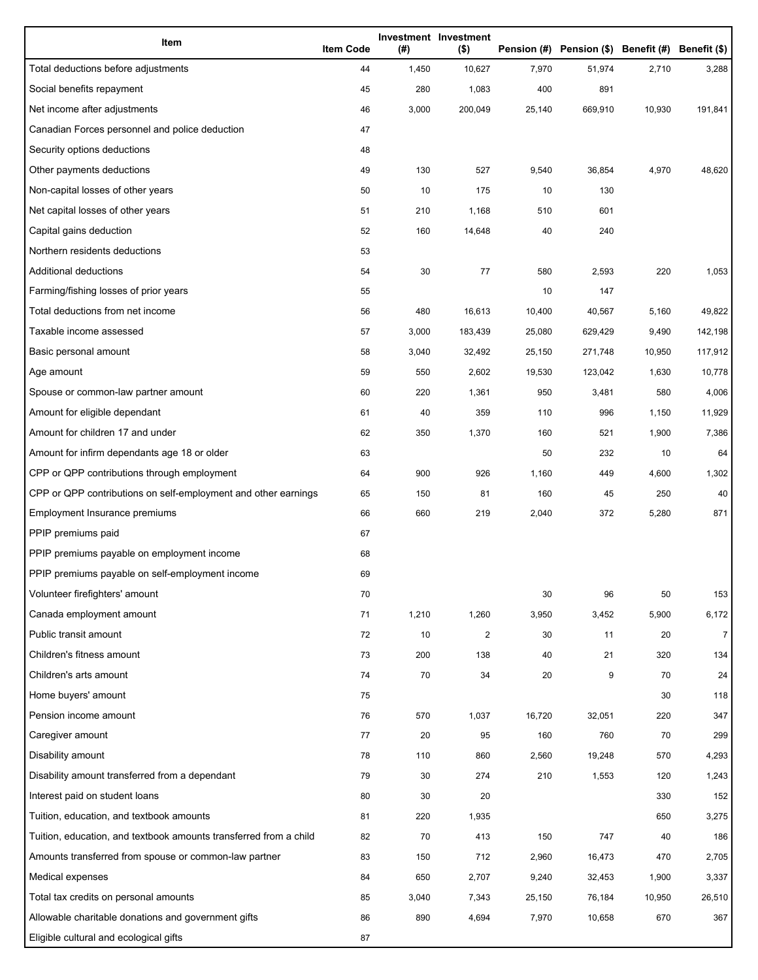| Item                                                              | <b>Item Code</b> | (#)   | Investment Investment<br>$($ \$) |        | Pension (#) Pension (\$) Benefit (#) Benefit (\$) |        |                |
|-------------------------------------------------------------------|------------------|-------|----------------------------------|--------|---------------------------------------------------|--------|----------------|
| Total deductions before adjustments                               | 44               | 1,450 | 10,627                           | 7,970  | 51,974                                            | 2,710  | 3,288          |
| Social benefits repayment                                         | 45               | 280   | 1,083                            | 400    | 891                                               |        |                |
| Net income after adjustments                                      | 46               | 3,000 | 200,049                          | 25,140 | 669,910                                           | 10,930 | 191,841        |
| Canadian Forces personnel and police deduction                    | 47               |       |                                  |        |                                                   |        |                |
| Security options deductions                                       | 48               |       |                                  |        |                                                   |        |                |
| Other payments deductions                                         | 49               | 130   | 527                              | 9,540  | 36,854                                            | 4,970  | 48,620         |
| Non-capital losses of other years                                 | 50               | 10    | 175                              | 10     | 130                                               |        |                |
| Net capital losses of other years                                 | 51               | 210   | 1,168                            | 510    | 601                                               |        |                |
| Capital gains deduction                                           | 52               | 160   | 14,648                           | 40     | 240                                               |        |                |
| Northern residents deductions                                     | 53               |       |                                  |        |                                                   |        |                |
| Additional deductions                                             | 54               | 30    | 77                               | 580    | 2,593                                             | 220    | 1,053          |
| Farming/fishing losses of prior years                             | 55               |       |                                  | 10     | 147                                               |        |                |
| Total deductions from net income                                  | 56               | 480   | 16,613                           | 10,400 | 40,567                                            | 5,160  | 49,822         |
| Taxable income assessed                                           | 57               | 3,000 | 183,439                          | 25,080 | 629,429                                           | 9,490  | 142,198        |
| Basic personal amount                                             | 58               | 3,040 | 32,492                           | 25,150 | 271,748                                           | 10,950 | 117,912        |
| Age amount                                                        | 59               | 550   | 2,602                            | 19,530 | 123,042                                           | 1,630  | 10,778         |
| Spouse or common-law partner amount                               | 60               | 220   | 1,361                            | 950    | 3,481                                             | 580    | 4,006          |
| Amount for eligible dependant                                     | 61               | 40    | 359                              | 110    | 996                                               | 1,150  | 11,929         |
| Amount for children 17 and under                                  | 62               | 350   | 1,370                            | 160    | 521                                               | 1,900  | 7,386          |
| Amount for infirm dependants age 18 or older                      | 63               |       |                                  | 50     | 232                                               | 10     | 64             |
| CPP or QPP contributions through employment                       | 64               | 900   | 926                              | 1,160  | 449                                               | 4,600  | 1,302          |
| CPP or QPP contributions on self-employment and other earnings    | 65               | 150   | 81                               | 160    | 45                                                | 250    | 40             |
| Employment Insurance premiums                                     | 66               | 660   | 219                              | 2,040  | 372                                               | 5,280  | 871            |
| PPIP premiums paid                                                | 67               |       |                                  |        |                                                   |        |                |
| PPIP premiums payable on employment income                        | 68               |       |                                  |        |                                                   |        |                |
| PPIP premiums payable on self-employment income                   | 69               |       |                                  |        |                                                   |        |                |
| Volunteer firefighters' amount                                    | 70               |       |                                  | 30     | 96                                                | 50     | 153            |
| Canada employment amount                                          | 71               | 1,210 | 1,260                            | 3,950  | 3,452                                             | 5,900  | 6,172          |
| Public transit amount                                             | 72               | 10    | $\overline{c}$                   | 30     | 11                                                | 20     | $\overline{7}$ |
| Children's fitness amount                                         | 73               | 200   | 138                              | 40     | 21                                                | 320    | 134            |
| Children's arts amount                                            | 74               | 70    | 34                               | 20     | 9                                                 | 70     | 24             |
| Home buyers' amount                                               | 75               |       |                                  |        |                                                   | 30     | 118            |
| Pension income amount                                             | 76               | 570   | 1,037                            | 16,720 | 32,051                                            | 220    | 347            |
| Caregiver amount                                                  | 77               | 20    | 95                               | 160    | 760                                               | 70     | 299            |
| Disability amount                                                 | 78               | 110   | 860                              | 2,560  | 19,248                                            | 570    | 4,293          |
| Disability amount transferred from a dependant                    | 79               | 30    | 274                              | 210    | 1,553                                             | 120    | 1,243          |
| Interest paid on student loans                                    | 80               | 30    | 20                               |        |                                                   | 330    | 152            |
| Tuition, education, and textbook amounts                          | 81               | 220   | 1,935                            |        |                                                   | 650    | 3,275          |
| Tuition, education, and textbook amounts transferred from a child | 82               | 70    | 413                              | 150    | 747                                               | 40     | 186            |
| Amounts transferred from spouse or common-law partner             | 83               | 150   | 712                              | 2,960  | 16,473                                            | 470    | 2,705          |
| Medical expenses                                                  | 84               | 650   | 2,707                            | 9,240  | 32,453                                            | 1,900  | 3,337          |
| Total tax credits on personal amounts                             | 85               | 3,040 | 7,343                            | 25,150 | 76,184                                            | 10,950 | 26,510         |
| Allowable charitable donations and government gifts               | 86               | 890   | 4,694                            | 7,970  | 10,658                                            | 670    | 367            |
| Eligible cultural and ecological gifts                            | 87               |       |                                  |        |                                                   |        |                |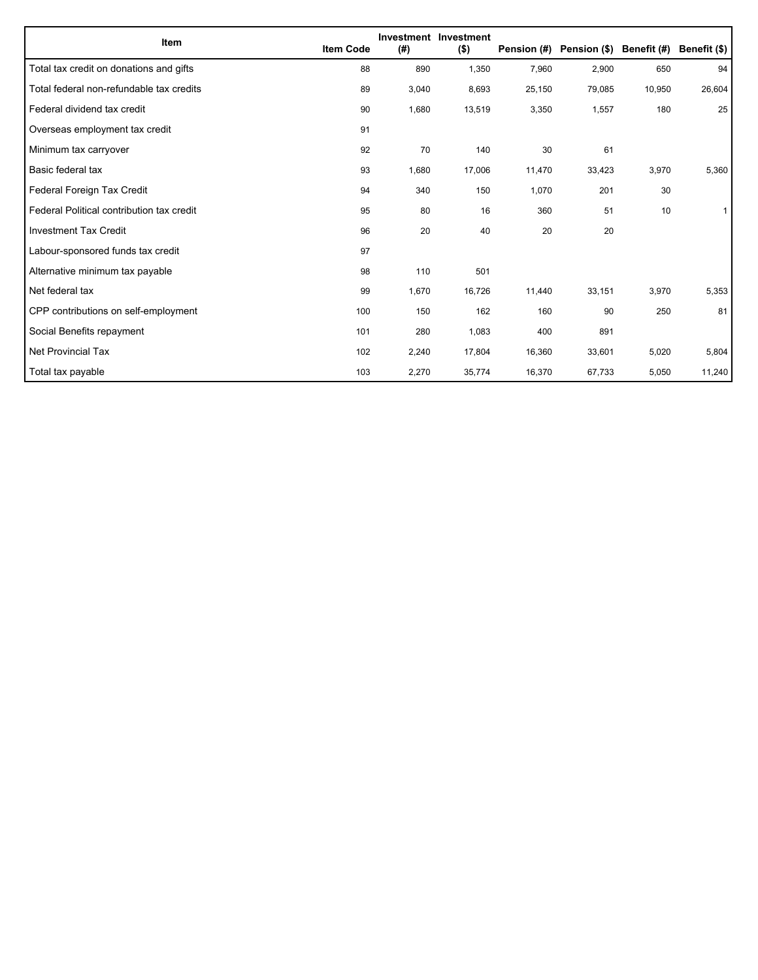| Item                                      | <b>Item Code</b> | (#)   | Investment Investment<br>$($ \$) | Pension (#) | Pension (\$) Benefit (#) |        | Benefit (\$) |
|-------------------------------------------|------------------|-------|----------------------------------|-------------|--------------------------|--------|--------------|
| Total tax credit on donations and gifts   | 88               | 890   | 1,350                            | 7,960       | 2,900                    | 650    | 94           |
| Total federal non-refundable tax credits  | 89               | 3,040 | 8,693                            | 25,150      | 79,085                   | 10,950 | 26,604       |
| Federal dividend tax credit               | 90               | 1,680 | 13,519                           | 3,350       | 1,557                    | 180    | 25           |
| Overseas employment tax credit            | 91               |       |                                  |             |                          |        |              |
| Minimum tax carryover                     | 92               | 70    | 140                              | 30          | 61                       |        |              |
| Basic federal tax                         | 93               | 1,680 | 17,006                           | 11,470      | 33,423                   | 3,970  | 5,360        |
| Federal Foreign Tax Credit                | 94               | 340   | 150                              | 1,070       | 201                      | 30     |              |
| Federal Political contribution tax credit | 95               | 80    | 16                               | 360         | 51                       | 10     |              |
| <b>Investment Tax Credit</b>              | 96               | 20    | 40                               | 20          | 20                       |        |              |
| Labour-sponsored funds tax credit         | 97               |       |                                  |             |                          |        |              |
| Alternative minimum tax payable           | 98               | 110   | 501                              |             |                          |        |              |
| Net federal tax                           | 99               | 1,670 | 16,726                           | 11,440      | 33,151                   | 3,970  | 5,353        |
| CPP contributions on self-employment      | 100              | 150   | 162                              | 160         | 90                       | 250    | 81           |
| Social Benefits repayment                 | 101              | 280   | 1,083                            | 400         | 891                      |        |              |
| Net Provincial Tax                        | 102              | 2,240 | 17,804                           | 16,360      | 33,601                   | 5,020  | 5,804        |
| Total tax payable                         | 103              | 2,270 | 35,774                           | 16,370      | 67,733                   | 5,050  | 11,240       |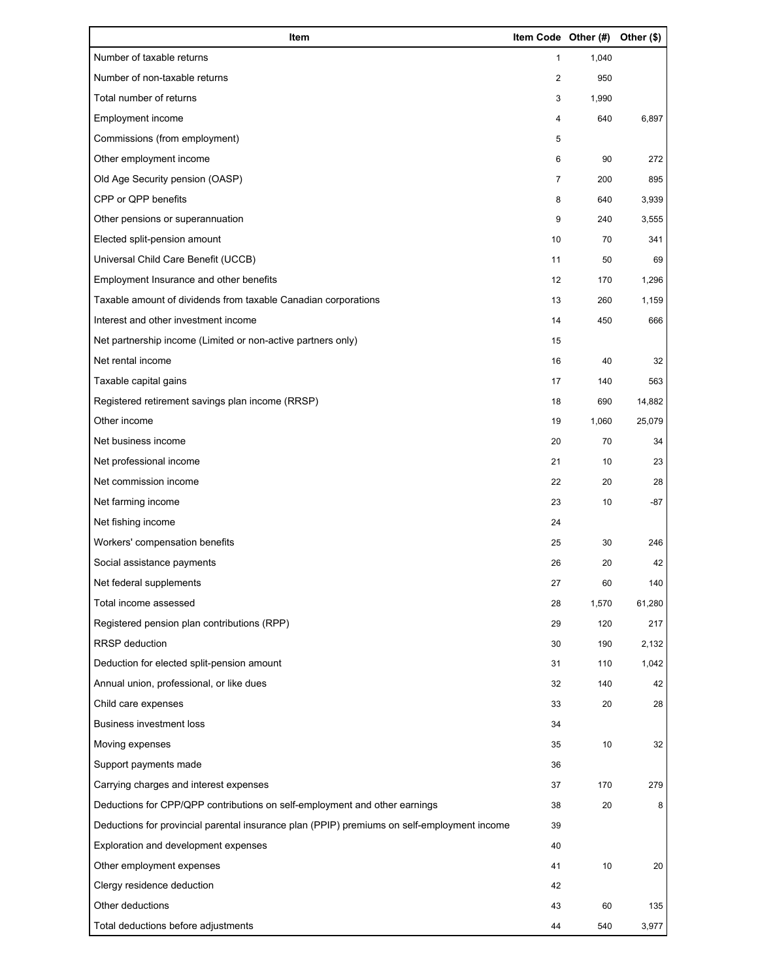| Item                                                                                        | Item Code Other (#) |       | Other (\$) |
|---------------------------------------------------------------------------------------------|---------------------|-------|------------|
| Number of taxable returns                                                                   | 1                   | 1,040 |            |
| Number of non-taxable returns                                                               | 2                   | 950   |            |
| Total number of returns                                                                     | 3                   | 1,990 |            |
| Employment income                                                                           | 4                   | 640   | 6,897      |
| Commissions (from employment)                                                               | 5                   |       |            |
| Other employment income                                                                     | 6                   | 90    | 272        |
| Old Age Security pension (OASP)                                                             | $\overline{7}$      | 200   | 895        |
| CPP or QPP benefits                                                                         | 8                   | 640   | 3,939      |
| Other pensions or superannuation                                                            | 9                   | 240   | 3,555      |
| Elected split-pension amount                                                                | 10                  | 70    | 341        |
| Universal Child Care Benefit (UCCB)                                                         | 11                  | 50    | 69         |
| Employment Insurance and other benefits                                                     | 12                  | 170   | 1,296      |
| Taxable amount of dividends from taxable Canadian corporations                              | 13                  | 260   | 1,159      |
| Interest and other investment income                                                        | 14                  | 450   | 666        |
| Net partnership income (Limited or non-active partners only)                                | 15                  |       |            |
| Net rental income                                                                           | 16                  | 40    | 32         |
| Taxable capital gains                                                                       | 17                  | 140   | 563        |
| Registered retirement savings plan income (RRSP)                                            | 18                  | 690   | 14,882     |
| Other income                                                                                | 19                  | 1,060 | 25,079     |
| Net business income                                                                         | 20                  | 70    | 34         |
| Net professional income                                                                     | 21                  | 10    | 23         |
| Net commission income                                                                       | 22                  | 20    | 28         |
| Net farming income                                                                          | 23                  | 10    | -87        |
| Net fishing income                                                                          | 24                  |       |            |
| Workers' compensation benefits                                                              | 25                  | 30    | 246        |
| Social assistance payments                                                                  | 26                  | 20    | 42         |
| Net federal supplements                                                                     | 27                  | 60    | 140        |
| Total income assessed                                                                       | 28                  | 1,570 | 61,280     |
| Registered pension plan contributions (RPP)                                                 | 29                  | 120   | 217        |
| RRSP deduction                                                                              | 30                  | 190   | 2,132      |
| Deduction for elected split-pension amount                                                  | 31                  | 110   | 1,042      |
| Annual union, professional, or like dues                                                    | 32                  | 140   | 42         |
| Child care expenses                                                                         | 33                  | 20    | 28         |
| <b>Business investment loss</b>                                                             | 34                  |       |            |
| Moving expenses                                                                             | 35                  | 10    | 32         |
| Support payments made                                                                       | 36                  |       |            |
| Carrying charges and interest expenses                                                      | 37                  | 170   | 279        |
| Deductions for CPP/QPP contributions on self-employment and other earnings                  | 38                  | 20    | 8          |
| Deductions for provincial parental insurance plan (PPIP) premiums on self-employment income | 39                  |       |            |
| Exploration and development expenses                                                        | 40                  |       |            |
| Other employment expenses                                                                   | 41                  | 10    | 20         |
| Clergy residence deduction                                                                  | 42                  |       |            |
| Other deductions                                                                            | 43                  | 60    | 135        |
| Total deductions before adjustments                                                         | 44                  | 540   | 3,977      |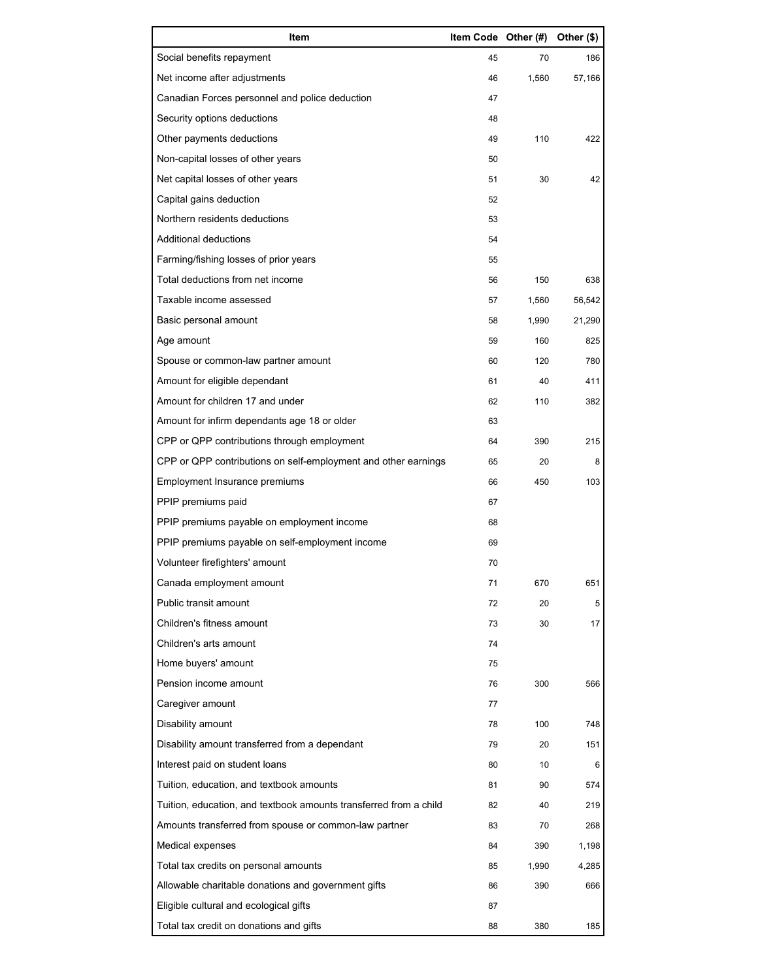| Item                                                              | Item Code Other (#) |       | Other (\$) |
|-------------------------------------------------------------------|---------------------|-------|------------|
| Social benefits repayment                                         | 45                  | 70    | 186        |
| Net income after adjustments                                      | 46                  | 1,560 | 57,166     |
| Canadian Forces personnel and police deduction                    | 47                  |       |            |
| Security options deductions                                       | 48                  |       |            |
| Other payments deductions                                         | 49                  | 110   | 422        |
| Non-capital losses of other years                                 | 50                  |       |            |
| Net capital losses of other years                                 | 51                  | 30    | 42         |
| Capital gains deduction                                           | 52                  |       |            |
| Northern residents deductions                                     | 53                  |       |            |
| Additional deductions                                             | 54                  |       |            |
| Farming/fishing losses of prior years                             | 55                  |       |            |
| Total deductions from net income                                  | 56                  | 150   | 638        |
| Taxable income assessed                                           | 57                  | 1,560 | 56,542     |
| Basic personal amount                                             | 58                  | 1,990 | 21,290     |
| Age amount                                                        | 59                  | 160   | 825        |
| Spouse or common-law partner amount                               | 60                  | 120   | 780        |
| Amount for eligible dependant                                     | 61                  | 40    | 411        |
| Amount for children 17 and under                                  | 62                  | 110   | 382        |
| Amount for infirm dependants age 18 or older                      | 63                  |       |            |
| CPP or QPP contributions through employment                       | 64                  | 390   | 215        |
| CPP or QPP contributions on self-employment and other earnings    | 65                  | 20    | 8          |
| Employment Insurance premiums                                     | 66                  | 450   | 103        |
| PPIP premiums paid                                                | 67                  |       |            |
| PPIP premiums payable on employment income                        | 68                  |       |            |
| PPIP premiums payable on self-employment income                   | 69                  |       |            |
| Volunteer firefighters' amount                                    | 70                  |       |            |
| Canada employment amount                                          | 71                  | 670   | 651        |
| Public transit amount                                             | 72                  | 20    | 5          |
| Children's fitness amount                                         | 73                  | 30    | 17         |
| Children's arts amount                                            | 74                  |       |            |
| Home buyers' amount                                               | 75                  |       |            |
| Pension income amount                                             | 76                  | 300   | 566        |
| Caregiver amount                                                  | 77                  |       |            |
| Disability amount                                                 | 78                  | 100   | 748        |
| Disability amount transferred from a dependant                    | 79                  | 20    | 151        |
| Interest paid on student loans                                    | 80                  | 10    | 6          |
| Tuition, education, and textbook amounts                          | 81                  | 90    | 574        |
| Tuition, education, and textbook amounts transferred from a child | 82                  | 40    | 219        |
| Amounts transferred from spouse or common-law partner             | 83                  | 70    | 268        |
| Medical expenses                                                  | 84                  | 390   | 1,198      |
| Total tax credits on personal amounts                             | 85                  | 1,990 | 4,285      |
| Allowable charitable donations and government gifts               | 86                  | 390   | 666        |
| Eligible cultural and ecological gifts                            | 87                  |       |            |
| Total tax credit on donations and gifts                           | 88                  | 380   | 185        |